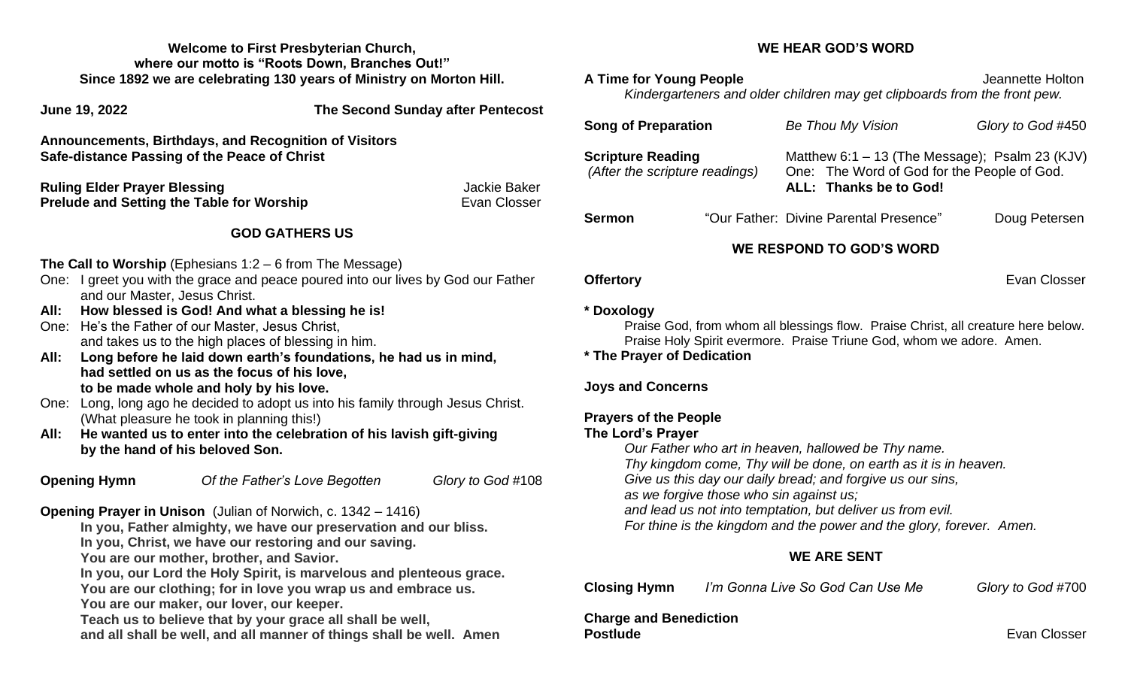**Welcome to First Presbyterian Church, where our motto is "Roots Down, Branches Out!" Since 1892 we are celebrating 130 years of Ministry on Morton Hill.**

**June 19, 2022 The Second Sunday after Pentecost Announcements, Birthdays, and Recognition of Visitors**

**Safe-distance Passing of the Peace of Christ**

**Ruling Elder Prayer Blessing Community Community Community Community Community Community Community Community Community Community Community Community Community Community Community Community Community Community Community Co Prelude and Setting the Table for Worship** Evan Closser

### **GOD GATHERS US**

**The Call to Worship** (Ephesians 1:2 – 6 from The Message)

- One: I greet you with the grace and peace poured into our lives by God our Father and our Master, Jesus Christ.
- **All: How blessed is God! And what a blessing he is!**
- One: He's the Father of our Master, Jesus Christ, and takes us to the high places of blessing in him.
- **All: Long before he laid down earth's foundations, he had us in mind, had settled on us as the focus of his love, to be made whole and holy by his love.**
- One: Long, long ago he decided to adopt us into his family through Jesus Christ. (What pleasure he took in planning this!)
- **All: He wanted us to enter into the celebration of his lavish gift-giving by the hand of his beloved Son.**

**Opening Hymn** *Of the Father's Love Begotten Glory to God* #108

## **Opening Prayer in Unison** (Julian of Norwich, c. 1342 – 1416)

**In you, Father almighty, we have our preservation and our bliss.**

**In you, Christ, we have our restoring and our saving.**

**You are our mother, brother, and Savior.**

**In you, our Lord the Holy Spirit, is marvelous and plenteous grace.**

**You are our clothing; for in love you wrap us and embrace us.**

**You are our maker, our lover, our keeper.**

**Teach us to believe that by your grace all shall be well, and all shall be well, and all manner of things shall be well. Amen**

### **WE HEAR GOD'S WORD**

**A Time for Young People A Time for Young People** *Kindergarteners and older children may get clipboards from the front pew.*

| <b>Song of Preparation</b>                                 |  | <b>Be Thou My Vision</b>                                                                                                  | Glory to God #450 |
|------------------------------------------------------------|--|---------------------------------------------------------------------------------------------------------------------------|-------------------|
| <b>Scripture Reading</b><br>(After the scripture readings) |  | Matthew 6:1 $-$ 13 (The Message); Psalm 23 (KJV)<br>One: The Word of God for the People of God.<br>ALL: Thanks be to God! |                   |
| <b>Sermon</b>                                              |  | "Our Father: Divine Parental Presence"                                                                                    | Doug Petersen     |

## **WE RESPOND TO GOD'S WORD**

**Offertory** Evan Closser

### **\* Doxology**

Praise God, from whom all blessings flow. Praise Christ, all creature here below. Praise Holy Spirit evermore. Praise Triune God, whom we adore. Amen.

**\* The Prayer of Dedication**

### **Joys and Concerns**

# **Prayers of the People**

### **The Lord's Prayer**

*Our Father who art in heaven, hallowed be Thy name. Thy kingdom come, Thy will be done, on earth as it is in heaven. Give us this day our daily bread; and forgive us our sins, as we forgive those who sin against us; and lead us not into temptation, but deliver us from evil. For thine is the kingdom and the power and the glory, forever. Amen.* 

## **WE ARE SENT**

| <b>Closing Hymn</b> | I'm Gonna Live So God Can Use Me | Glory to God #700 |
|---------------------|----------------------------------|-------------------|
|                     |                                  |                   |

**Charge and Benediction Postlude** Evan Closser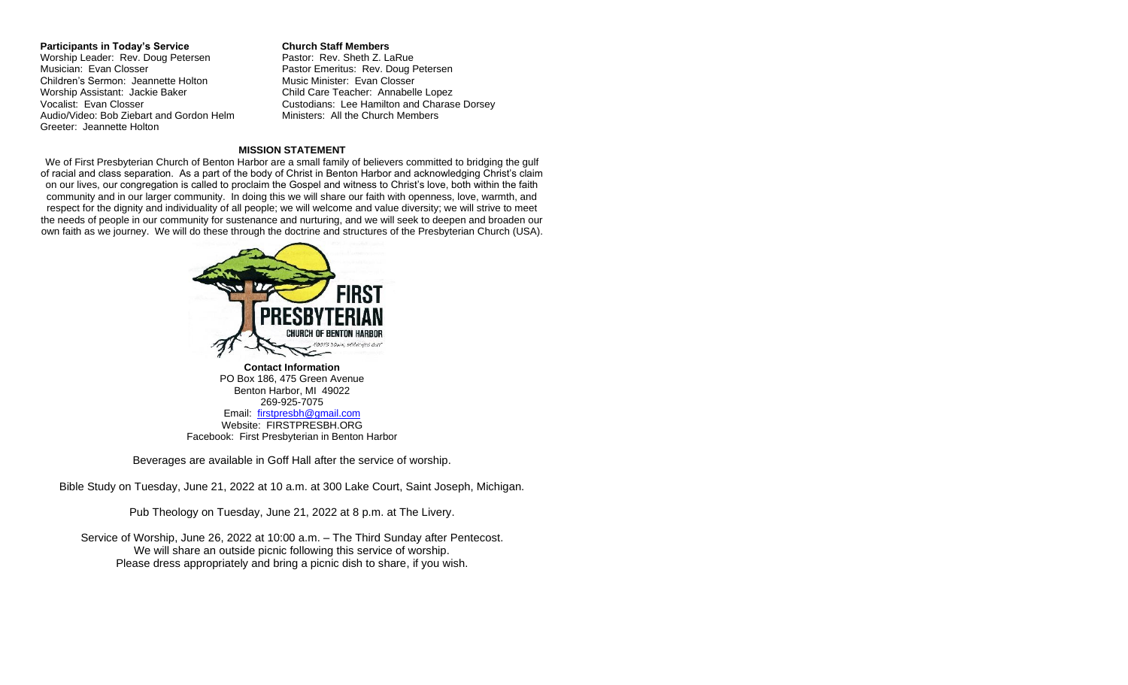**Participants in Today's Service Church Staff Members** Worship Leader: Rev. Doug Petersen Pastor: Rev. Sheth Z. LaRue<br>Musician: Evan Closser Pastor Emeritus: Rev. Doug F Children's Sermon: Jeannette Holton Music Minister: Evan Closser Worship Assistant: Jackie Baker Child Care Teacher: Annabelle Lopez Audio/Video: Bob Ziebart and Gordon Helm Greeter: Jeannette Holton

Pastor Emeritus: Rev. Doug Petersen Vocalist: Evan Closser Custodians: Lee Hamilton and Charase Dorsey<br>Audio/Video: Bob Ziebart and Gordon Helm Ministers: All the Church Members

#### **MISSION STATEMENT**

We of First Presbyterian Church of Benton Harbor are a small family of believers committed to bridging the gulf of racial and class separation. As a part of the body of Christ in Benton Harbor and acknowledging Christ's claim on our lives, our congregation is called to proclaim the Gospel and witness to Christ's love, both within the faith community and in our larger community. In doing this we will share our faith with openness, love, warmth, and respect for the dignity and individuality of all people; we will welcome and value diversity; we will strive to meet the needs of people in our community for sustenance and nurturing, and we will seek to deepen and broaden our own faith as we journey. We will do these through the doctrine and structures of the Presbyterian Church (USA).



**Contact Information** PO Box 186, 475 Green Avenue Benton Harbor, MI 49022 269-925-7075 Email: [firstpresbh@gmail.com](mailto:firstpresbh@gmail.com) Website: FIRSTPRESBH.ORG Facebook: First Presbyterian in Benton Harbor

Beverages are available in Goff Hall after the service of worship.

Bible Study on Tuesday, June 21, 2022 at 10 a.m. at 300 Lake Court, Saint Joseph, Michigan.

Pub Theology on Tuesday, June 21, 2022 at 8 p.m. at The Livery.

Service of Worship, June 26, 2022 at 10:00 a.m. – The Third Sunday after Pentecost. We will share an outside picnic following this service of worship. Please dress appropriately and bring a picnic dish to share, if you wish.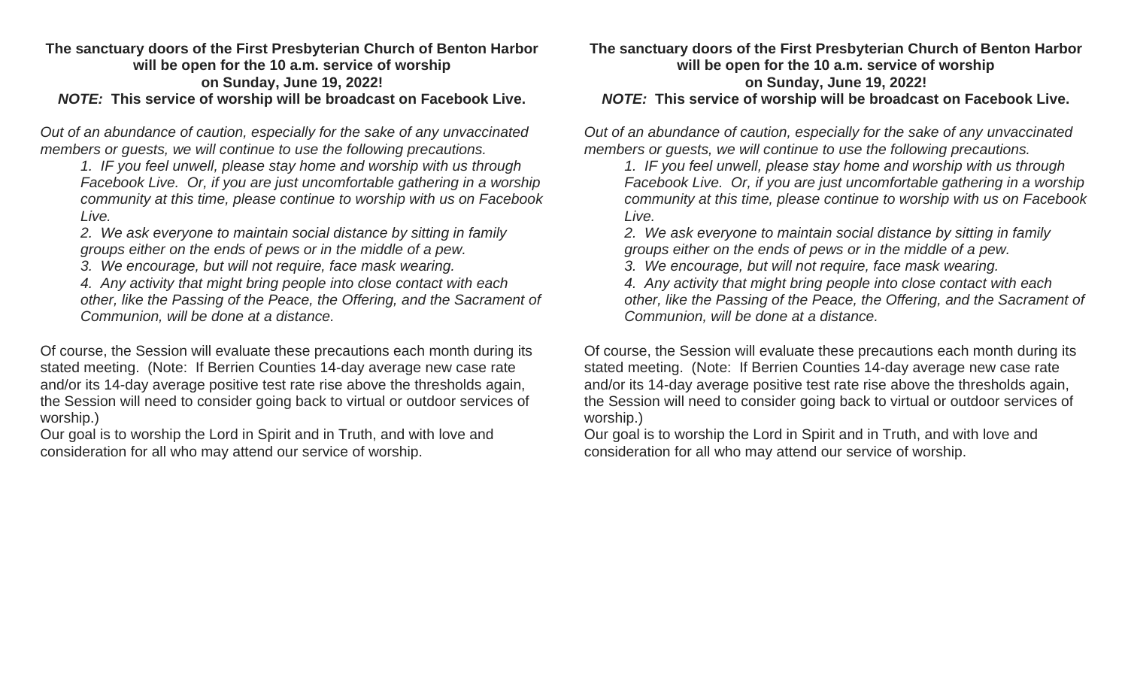### **The sanctuary doors of the First Presbyterian Church of Benton Harbor will be open for the 10 a.m. service of worship on Sunday, June 19, 2022!** *NOTE:* **This service of worship will be broadcast on Facebook Live.**

*Out of an abundance of caution, especially for the sake of any unvaccinated members or guests, we will continue to use the following precautions.*

*1. IF you feel unwell, please stay home and worship with us through Facebook Live. Or, if you are just uncomfortable gathering in a worship community at this time, please continue to worship with us on Facebook Live.*

*2. We ask everyone to maintain social distance by sitting in family groups either on the ends of pews or in the middle of a pew.* 

*3. We encourage, but will not require, face mask wearing.*

*4. Any activity that might bring people into close contact with each other, like the Passing of the Peace, the Offering, and the Sacrament of Communion, will be done at a distance.*

Of course, the Session will evaluate these precautions each month during its stated meeting. (Note: If Berrien Counties 14-day average new case rate and/or its 14-day average positive test rate rise above the thresholds again, the Session will need to consider going back to virtual or outdoor services of worship.)

Our goal is to worship the Lord in Spirit and in Truth, and with love and consideration for all who may attend our service of worship.

# **The sanctuary doors of the First Presbyterian Church of Benton Harbor will be open for the 10 a.m. service of worship**

**on Sunday, June 19, 2022!**

# *NOTE:* **This service of worship will be broadcast on Facebook Live.**

*Out of an abundance of caution, especially for the sake of any unvaccinated members or guests, we will continue to use the following precautions.*

*1. IF you feel unwell, please stay home and worship with us through Facebook Live. Or, if you are just uncomfortable gathering in a worship community at this time, please continue to worship with us on Facebook Live.*

*2. We ask everyone to maintain social distance by sitting in family groups either on the ends of pews or in the middle of a pew.* 

*3. We encourage, but will not require, face mask wearing.*

*4. Any activity that might bring people into close contact with each other, like the Passing of the Peace, the Offering, and the Sacrament of Communion, will be done at a distance.*

Of course, the Session will evaluate these precautions each month during its stated meeting. (Note: If Berrien Counties 14-day average new case rate and/or its 14-day average positive test rate rise above the thresholds again, the Session will need to consider going back to virtual or outdoor services of worship.)

Our goal is to worship the Lord in Spirit and in Truth, and with love and consideration for all who may attend our service of worship.